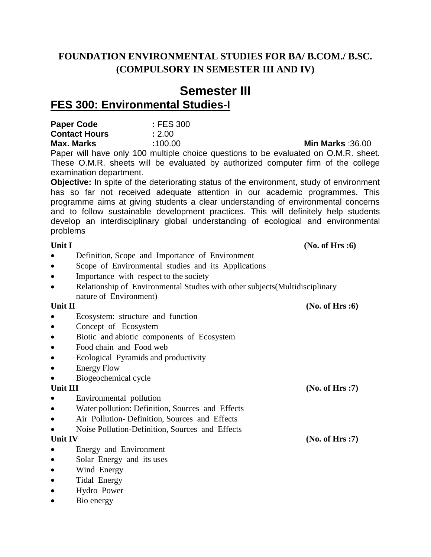## **FOUNDATION ENVIRONMENTAL STUDIES FOR BA/ B.COM./ B.SC. (COMPULSORY IN SEMESTER III AND IV)**

# **Semester III FES 300: Environmental Studies-I**

| Paper Code           | : FES 300 |
|----------------------|-----------|
| <b>Contact Hours</b> | : 2.00    |
| Max. Marks           | :100.00   |

Paper will have only 100 multiple choice questions to be evaluated on O.M.R. sheet. These O.M.R. sheets will be evaluated by authorized computer firm of the college examination department.

**Objective:** In spite of the deteriorating status of the environment, study of environment has so far not received adequate attention in our academic programmes. This programme aims at giving students a clear understanding of environmental concerns and to follow sustainable development practices. This will definitely help students develop an interdisciplinary global understanding of ecological and environmental problems

- Definition, Scope and Importance of Environment
- Scope of Environmental studies and its Applications
- Importance with respect to the society
- Relationship of Environmental Studies with other subjects (Multidisciplinary nature of Environment)

## Unit II (No. of Hrs :6)

- Ecosystem: structure and function
- Concept of Ecosystem
- Biotic and abiotic components of Ecosystem
- Food chain and Food web
- Ecological Pyramids and productivity
- Energy Flow
- Biogeochemical cycle

- Environmental pollution
- Water pollution: Definition, Sources and Effects
- Air Pollution- Definition, Sources and Effects
- Noise Pollution-Definition, Sources and Effects

- Energy and Environment
- Solar Energy and its uses
- Wind Energy
- Tidal Energy
- Hydro Power
- Bio energy

Unit I *(No. of Hrs :6) (No. of Hrs :6)* 

**Min Marks** :36.00

Unit III *(No. of Hrs :7)* 

**Unit IV (No. of Hrs :7)**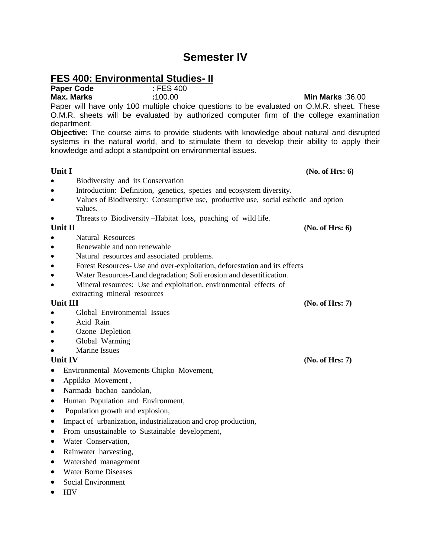# **Semester IV**

## **FES 400: Environmental Studies- II**

**Paper Code :** FES 400

Paper will have only 100 multiple choice questions to be evaluated on O.M.R. sheet. These O.M.R. sheets will be evaluated by authorized computer firm of the college examination department.

**Objective:** The course aims to provide students with knowledge about natural and disrupted systems in the natural world, and to stimulate them to develop their ability to apply their knowledge and adopt a standpoint on environmental issues.

## **Unit I (No. of Hrs: 6) (No. of Hrs: 6)**

- Biodiversity and its Conservation
- Introduction: Definition, genetics, species and ecosystem diversity.
- Values of Biodiversity: Consumptive use, productive use, social esthetic and option values.
- Threats to Biodiversity –Habitat loss, poaching of wild life.

- Natural Resources
- Renewable and non renewable
- Natural resources and associated problems.
- Forest Resources- Use and over-exploitation, deforestation and its effects
- Water Resources-Land degradation; Soli erosion and desertification.
- Mineral resources: Use and exploitation, environmental effects of extracting mineral resources

## **Unit III (No. of Hrs: 7)**

- Global Environmental Issues
- Acid Rain
- Ozone Depletion
- Global Warming
- Marine Issues

- Environmental Movements Chipko Movement,
- Appikko Movement,
- Narmada bachao aandolan,
- Human Population and Environment,
- Population growth and explosion,
- Impact of urbanization, industrialization and crop production,
- From unsustainable to Sustainable development,
- Water Conservation,
- Rainwater harvesting,
- Watershed management
- Water Borne Diseases
- Social Environment
- HIV

## **Max. Marks :**100.00 **Min Marks** :36.00

## **Unit II (No. of Hrs: 6) (No. of Hrs: 6)**

Unit IV *(No. of Hrs: 7)* **(No. of Hrs: 7)**